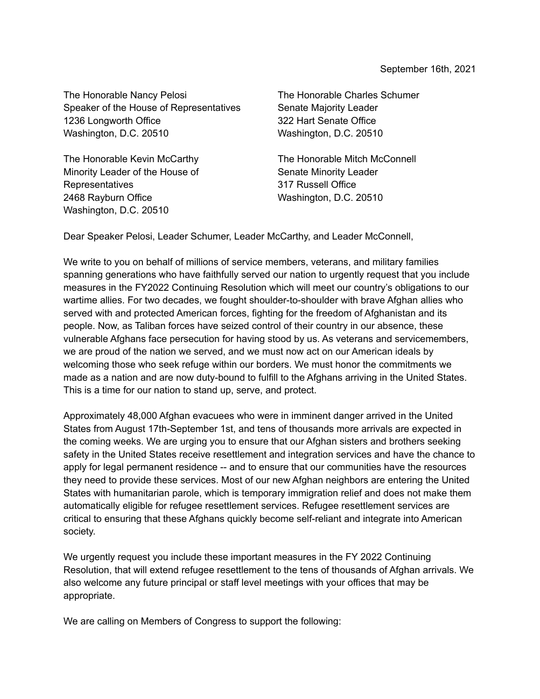The Honorable Nancy Pelosi Speaker of the House of Representatives 1236 Longworth Office Washington, D.C. 20510

The Honorable Kevin McCarthy Minority Leader of the House of Representatives 2468 Rayburn Office Washington, D.C. 20510

The Honorable Charles Schumer Senate Majority Leader 322 Hart Senate Office Washington, D.C. 20510

The Honorable Mitch McConnell Senate Minority Leader 317 Russell Office Washington, D.C. 20510

Dear Speaker Pelosi, Leader Schumer, Leader McCarthy, and Leader McConnell,

We write to you on behalf of millions of service members, veterans, and military families spanning generations who have faithfully served our nation to urgently request that you include measures in the FY2022 Continuing Resolution which will meet our country's obligations to our wartime allies. For two decades, we fought shoulder-to-shoulder with brave Afghan allies who served with and protected American forces, fighting for the freedom of Afghanistan and its people. Now, as Taliban forces have seized control of their country in our absence, these vulnerable Afghans face persecution for having stood by us. As veterans and servicemembers, we are proud of the nation we served, and we must now act on our American ideals by welcoming those who seek refuge within our borders. We must honor the commitments we made as a nation and are now duty-bound to fulfill to the Afghans arriving in the United States. This is a time for our nation to stand up, serve, and protect.

Approximately 48,000 Afghan evacuees who were in imminent danger arrived in the United States from August 17th-September 1st, and tens of thousands more arrivals are expected in the coming weeks. We are urging you to ensure that our Afghan sisters and brothers seeking safety in the United States receive resettlement and integration services and have the chance to apply for legal permanent residence -- and to ensure that our communities have the resources they need to provide these services. Most of our new Afghan neighbors are entering the United States with humanitarian parole, which is temporary immigration relief and does not make them automatically eligible for refugee resettlement services. Refugee resettlement services are critical to ensuring that these Afghans quickly become self-reliant and integrate into American society.

We urgently request you include these important measures in the FY 2022 Continuing Resolution, that will extend refugee resettlement to the tens of thousands of Afghan arrivals. We also welcome any future principal or staff level meetings with your offices that may be appropriate.

We are calling on Members of Congress to support the following: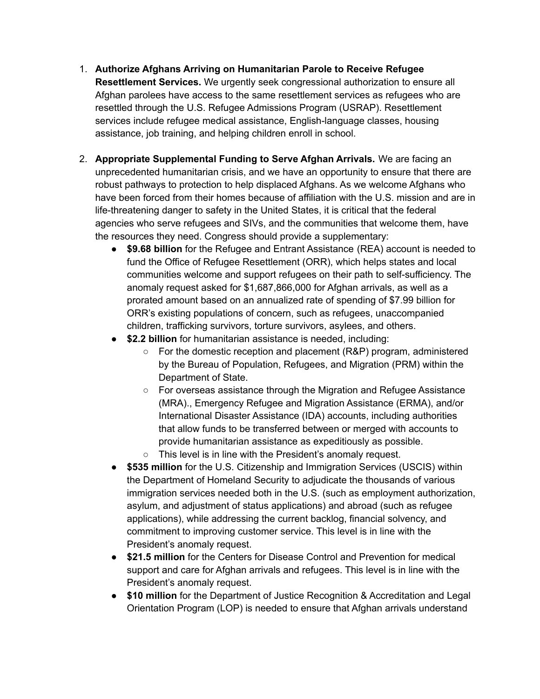- 1. **Authorize Afghans Arriving on Humanitarian Parole to Receive Refugee Resettlement Services.** We urgently seek congressional authorization to ensure all Afghan parolees have access to the same resettlement services as refugees who are resettled through the U.S. Refugee Admissions Program (USRAP). Resettlement services include refugee medical assistance, English-language classes, housing assistance, job training, and helping children enroll in school.
- 2. **Appropriate Supplemental Funding to Serve Afghan Arrivals.** We are facing an unprecedented humanitarian crisis, and we have an opportunity to ensure that there are robust pathways to protection to help displaced Afghans. As we welcome Afghans who have been forced from their homes because of affiliation with the U.S. mission and are in life-threatening danger to safety in the United States, it is critical that the federal agencies who serve refugees and SIVs, and the communities that welcome them, have the resources they need. Congress should provide a supplementary:
	- **\$9.68 billion** for the Refugee and Entrant Assistance (REA) account is needed to fund the Office of Refugee Resettlement (ORR), which helps states and local communities welcome and support refugees on their path to self-sufficiency. The anomaly request asked for \$1,687,866,000 for Afghan arrivals, as well as a prorated amount based on an annualized rate of spending of \$7.99 billion for ORR's existing populations of concern, such as refugees, unaccompanied children, trafficking survivors, torture survivors, asylees, and others.
	- **\$2.2 billion** for humanitarian assistance is needed, including:
		- For the domestic reception and placement (R&P) program, administered by the Bureau of Population, Refugees, and Migration (PRM) within the Department of State.
		- For overseas assistance through the Migration and Refugee Assistance (MRA)., Emergency Refugee and Migration Assistance (ERMA), and/or International Disaster Assistance (IDA) accounts, including authorities that allow funds to be transferred between or merged with accounts to provide humanitarian assistance as expeditiously as possible.
		- This level is in line with the President's anomaly request.
	- **\$535 million** for the U.S. Citizenship and Immigration Services (USCIS) within the Department of Homeland Security to adjudicate the thousands of various immigration services needed both in the U.S. (such as employment authorization, asylum, and adjustment of status applications) and abroad (such as refugee applications), while addressing the current backlog, financial solvency, and commitment to improving customer service. This level is in line with the President's anomaly request.
	- **\$21.5 million** for the Centers for Disease Control and Prevention for medical support and care for Afghan arrivals and refugees. This level is in line with the President's anomaly request.
	- **\$10 million** for the Department of Justice Recognition & Accreditation and Legal Orientation Program (LOP) is needed to ensure that Afghan arrivals understand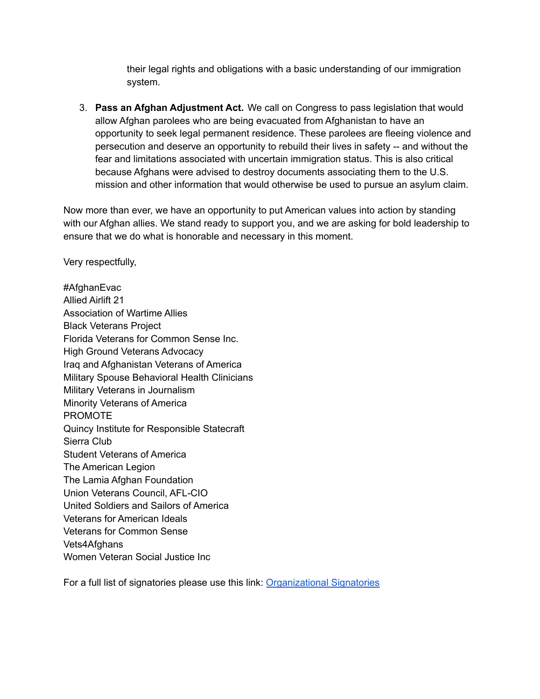their legal rights and obligations with a basic understanding of our immigration system.

3. **Pass an Afghan Adjustment Act.** We call on Congress to pass legislation that would allow Afghan parolees who are being evacuated from Afghanistan to have an opportunity to seek legal permanent residence. These parolees are fleeing violence and persecution and deserve an opportunity to rebuild their lives in safety -- and without the fear and limitations associated with uncertain immigration status. This is also critical because Afghans were advised to destroy documents associating them to the U.S. mission and other information that would otherwise be used to pursue an asylum claim.

Now more than ever, we have an opportunity to put American values into action by standing with our Afghan allies. We stand ready to support you, and we are asking for bold leadership to ensure that we do what is honorable and necessary in this moment.

Very respectfully,

#AfghanEvac Allied Airlift 21 Association of Wartime Allies Black Veterans Project Florida Veterans for Common Sense Inc. High Ground Veterans Advocacy Iraq and Afghanistan Veterans of America Military Spouse Behavioral Health Clinicians Military Veterans in Journalism Minority Veterans of America PROMOTE Quincy Institute for Responsible Statecraft Sierra Club Student Veterans of America The American Legion The Lamia Afghan Foundation Union Veterans Council, AFL-CIO United Soldiers and Sailors of America Veterans for American Ideals Veterans for Common Sense Vets4Afghans Women Veteran Social Justice Inc

For a full list of signatories please use this link: [Organizational](https://docs.google.com/spreadsheets/d/1r7EfRu9d0GRAKkpD8CeHzsaxGQitfWtv8xqGOuU-EEM/edit?usp=sharing) Signatories